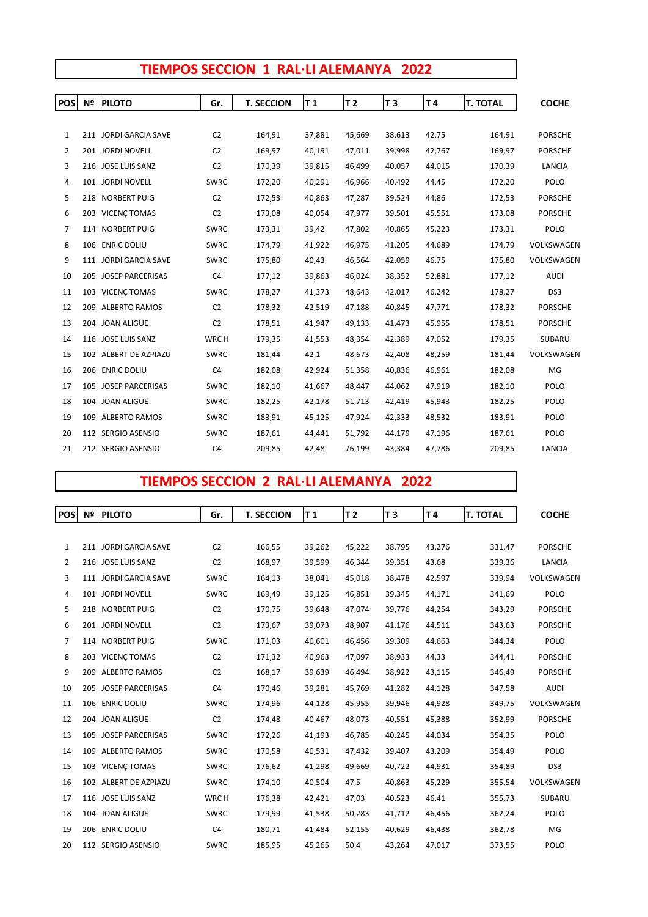|  | TIEMPOS SECCION 1 RAL·LI ALEMANYA 2022 |  |
|--|----------------------------------------|--|
|  |                                        |  |

| <b>POS</b>     | Nº | <b>PILOTO</b>         | Gr.            | <b>T. SECCION</b> | T <sub>1</sub> | T 2    | T <sub>3</sub> | T 4    | <b>T. TOTAL</b> | <b>COCHE</b>   |
|----------------|----|-----------------------|----------------|-------------------|----------------|--------|----------------|--------|-----------------|----------------|
|                |    |                       |                |                   |                |        |                |        |                 |                |
| $\mathbf{1}$   |    | 211 JORDI GARCIA SAVE | C <sub>2</sub> | 164,91            | 37,881         | 45,669 | 38,613         | 42,75  | 164,91          | <b>PORSCHE</b> |
| $\overline{2}$ |    | 201 JORDI NOVELL      | C <sub>2</sub> | 169,97            | 40,191         | 47,011 | 39,998         | 42,767 | 169,97          | <b>PORSCHE</b> |
| 3              |    | 216 JOSE LUIS SANZ    | C <sub>2</sub> | 170,39            | 39,815         | 46,499 | 40,057         | 44,015 | 170,39          | LANCIA         |
| 4              |    | 101 JORDI NOVELL      | <b>SWRC</b>    | 172,20            | 40,291         | 46,966 | 40,492         | 44,45  | 172,20          | POLO           |
| 5              |    | 218 NORBERT PUIG      | C <sub>2</sub> | 172,53            | 40,863         | 47,287 | 39,524         | 44,86  | 172,53          | <b>PORSCHE</b> |
| 6              |    | 203 VICENÇ TOMAS      | C <sub>2</sub> | 173,08            | 40,054         | 47,977 | 39,501         | 45,551 | 173,08          | <b>PORSCHE</b> |
| 7              |    | 114 NORBERT PUIG      | <b>SWRC</b>    | 173,31            | 39,42          | 47,802 | 40,865         | 45,223 | 173,31          | POLO           |
| 8              |    | 106 ENRIC DOLIU       | <b>SWRC</b>    | 174,79            | 41,922         | 46,975 | 41,205         | 44,689 | 174,79          | VOLKSWAGEN     |
| 9              |    | 111 JORDI GARCIA SAVE | <b>SWRC</b>    | 175,80            | 40,43          | 46,564 | 42,059         | 46,75  | 175,80          | VOLKSWAGEN     |
| 10             |    | 205 JOSEP PARCERISAS  | C <sub>4</sub> | 177,12            | 39,863         | 46,024 | 38,352         | 52,881 | 177,12          | <b>AUDI</b>    |
| 11             |    | 103 VICENC TOMAS      | <b>SWRC</b>    | 178,27            | 41,373         | 48,643 | 42,017         | 46,242 | 178,27          | DS3            |
| 12             |    | 209 ALBERTO RAMOS     | C <sub>2</sub> | 178,32            | 42,519         | 47,188 | 40,845         | 47,771 | 178,32          | <b>PORSCHE</b> |
| 13             |    | 204 JOAN ALIGUE       | C <sub>2</sub> | 178,51            | 41,947         | 49,133 | 41,473         | 45,955 | 178,51          | <b>PORSCHE</b> |
| 14             |    | 116 JOSE LUIS SANZ    | WRC H          | 179,35            | 41,553         | 48,354 | 42,389         | 47,052 | 179,35          | SUBARU         |
| 15             |    | 102 ALBERT DE AZPIAZU | <b>SWRC</b>    | 181,44            | 42,1           | 48,673 | 42,408         | 48,259 | 181,44          | VOLKSWAGEN     |
| 16             |    | 206 ENRIC DOLIU       | C <sub>4</sub> | 182,08            | 42,924         | 51,358 | 40,836         | 46,961 | 182,08          | MG             |
| 17             |    | 105 JOSEP PARCERISAS  | <b>SWRC</b>    | 182,10            | 41,667         | 48,447 | 44,062         | 47,919 | 182,10          | POLO           |
| 18             |    | 104 JOAN ALIGUE       | <b>SWRC</b>    | 182,25            | 42,178         | 51,713 | 42,419         | 45,943 | 182,25          | POLO           |
| 19             |    | 109 ALBERTO RAMOS     | <b>SWRC</b>    | 183,91            | 45,125         | 47,924 | 42,333         | 48,532 | 183,91          | POLO           |
| 20             |    | 112 SERGIO ASENSIO    | <b>SWRC</b>    | 187,61            | 44,441         | 51,792 | 44,179         | 47,196 | 187,61          | POLO           |
| 21             |    | 212 SERGIO ASENSIO    | C <sub>4</sub> | 209,85            | 42,48          | 76,199 | 43,384         | 47,786 | 209,85          | <b>LANCIA</b>  |

## **TIEMPOS SECCION 2 RAL·LI ALEMANYA 2022**

| <b>POS</b>     |     | <b>Nº PILOTO</b>      | Gr.            | <b>T. SECCION</b> | T 1    | T <sub>2</sub> | T <sub>3</sub> | T4     | <b>T. TOTAL</b> | <b>COCHE</b>   |
|----------------|-----|-----------------------|----------------|-------------------|--------|----------------|----------------|--------|-----------------|----------------|
|                |     |                       |                |                   |        |                |                |        |                 |                |
| $\mathbf{1}$   |     | 211 JORDI GARCIA SAVE | C <sub>2</sub> | 166,55            | 39,262 | 45,222         | 38,795         | 43,276 | 331,47          | <b>PORSCHE</b> |
| $\overline{2}$ |     | 216 JOSE LUIS SANZ    | C <sub>2</sub> | 168,97            | 39,599 | 46,344         | 39,351         | 43,68  | 339,36          | LANCIA         |
| 3              |     | 111 JORDI GARCIA SAVE | SWRC           | 164,13            | 38,041 | 45,018         | 38,478         | 42,597 | 339,94          | VOLKSWAGEN     |
| 4              |     | 101 JORDI NOVELL      | <b>SWRC</b>    | 169,49            | 39,125 | 46,851         | 39,345         | 44,171 | 341,69          | POLO           |
| 5              |     | 218 NORBERT PUIG      | C <sub>2</sub> | 170,75            | 39,648 | 47,074         | 39,776         | 44,254 | 343,29          | <b>PORSCHE</b> |
| 6              |     | 201 JORDI NOVELL      | C <sub>2</sub> | 173,67            | 39,073 | 48,907         | 41,176         | 44,511 | 343,63          | <b>PORSCHE</b> |
| 7              |     | 114 NORBERT PUIG      | SWRC           | 171,03            | 40,601 | 46,456         | 39,309         | 44,663 | 344,34          | POLO           |
| 8              |     | 203 VICENC TOMAS      | C <sub>2</sub> | 171,32            | 40,963 | 47,097         | 38,933         | 44,33  | 344,41          | <b>PORSCHE</b> |
| 9              | 209 | <b>ALBERTO RAMOS</b>  | C <sub>2</sub> | 168,17            | 39,639 | 46,494         | 38,922         | 43,115 | 346,49          | <b>PORSCHE</b> |
| 10             |     | 205 JOSEP PARCERISAS  | C <sub>4</sub> | 170,46            | 39,281 | 45,769         | 41,282         | 44,128 | 347,58          | <b>AUDI</b>    |
| 11             |     | 106 ENRIC DOLIU       | <b>SWRC</b>    | 174,96            | 44,128 | 45,955         | 39,946         | 44,928 | 349,75          | VOLKSWAGEN     |
| 12             |     | 204 JOAN ALIGUE       | C <sub>2</sub> | 174,48            | 40,467 | 48,073         | 40,551         | 45,388 | 352,99          | <b>PORSCHE</b> |
| 13             |     | 105 JOSEP PARCERISAS  | <b>SWRC</b>    | 172,26            | 41,193 | 46,785         | 40,245         | 44,034 | 354,35          | POLO           |
| 14             |     | 109 ALBERTO RAMOS     | <b>SWRC</b>    | 170,58            | 40,531 | 47,432         | 39,407         | 43,209 | 354,49          | POLO           |
| 15             |     | 103 VICENÇ TOMAS      | SWRC           | 176,62            | 41,298 | 49,669         | 40,722         | 44,931 | 354,89          | DS3            |
| 16             |     | 102 ALBERT DE AZPIAZU | SWRC           | 174,10            | 40,504 | 47,5           | 40,863         | 45,229 | 355,54          | VOLKSWAGEN     |
| 17             |     | 116 JOSE LUIS SANZ    | WRC H          | 176,38            | 42,421 | 47,03          | 40,523         | 46,41  | 355,73          | SUBARU         |
| 18             |     | 104 JOAN ALIGUE       | SWRC           | 179,99            | 41,538 | 50,283         | 41,712         | 46,456 | 362,24          | POLO           |
| 19             |     | 206 ENRIC DOLIU       | C <sub>4</sub> | 180,71            | 41,484 | 52,155         | 40,629         | 46,438 | 362,78          | MG             |
| 20             |     | 112 SERGIO ASENSIO    | <b>SWRC</b>    | 185,95            | 45,265 | 50,4           | 43,264         | 47,017 | 373,55          | POLO           |
|                |     |                       |                |                   |        |                |                |        |                 |                |